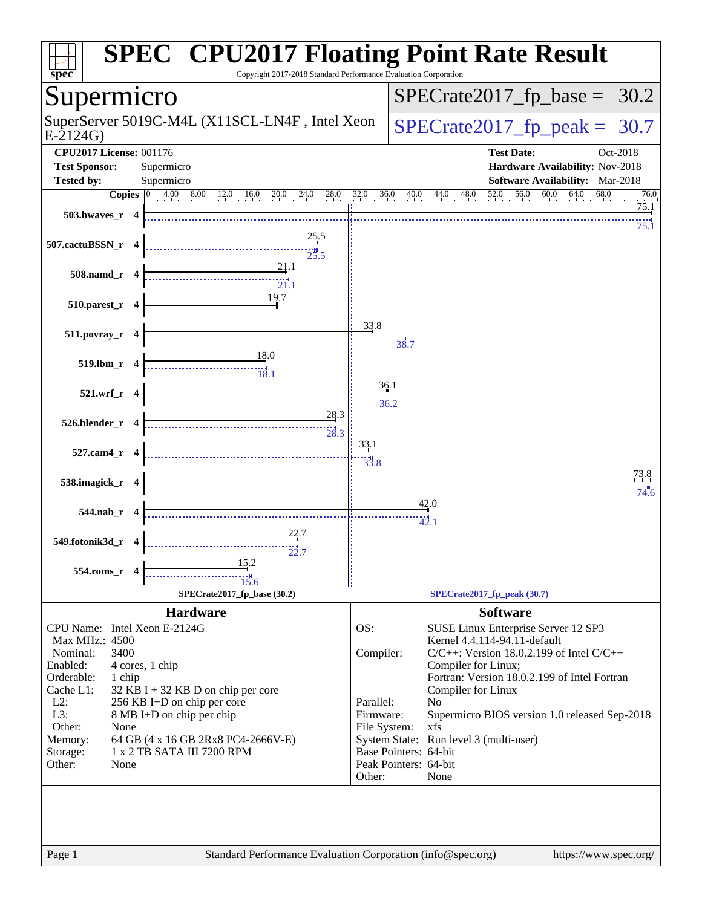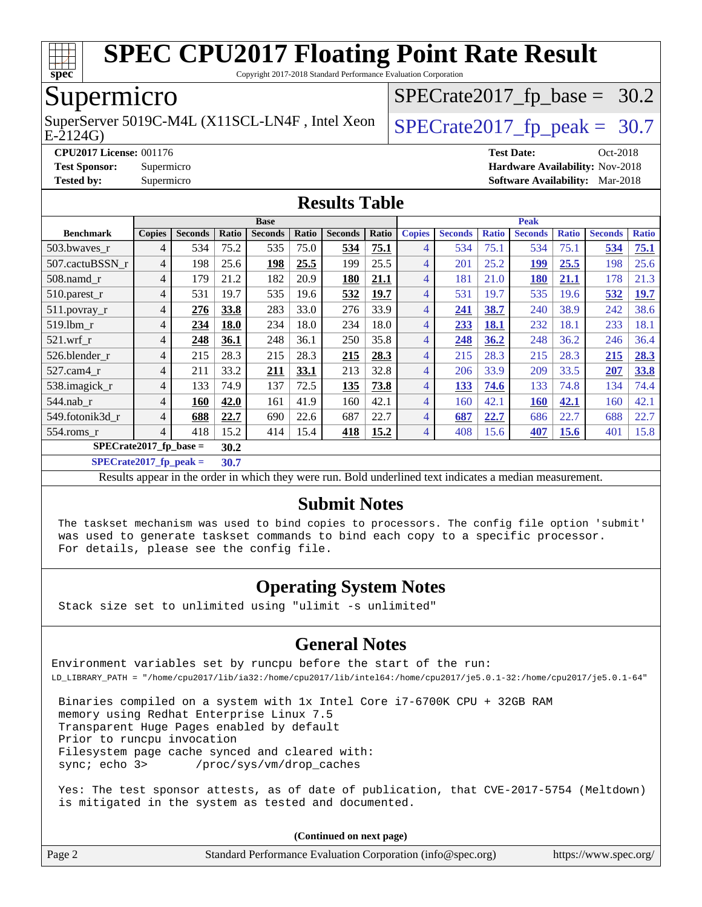

Copyright 2017-2018 Standard Performance Evaluation Corporation

### Supermicro

SuperServer 5019C-M4L (X11SCL-LN4F, Intel Xeon  $\big|$  [SPECrate2017\\_fp\\_peak =](http://www.spec.org/auto/cpu2017/Docs/result-fields.html#SPECrate2017fppeak) 30.7

 $SPECTate2017_fp\_base = 30.2$ 

E-2124G)

**[CPU2017 License:](http://www.spec.org/auto/cpu2017/Docs/result-fields.html#CPU2017License)** 001176 **[Test Date:](http://www.spec.org/auto/cpu2017/Docs/result-fields.html#TestDate)** Oct-2018 **[Test Sponsor:](http://www.spec.org/auto/cpu2017/Docs/result-fields.html#TestSponsor)** Supermicro **[Hardware Availability:](http://www.spec.org/auto/cpu2017/Docs/result-fields.html#HardwareAvailability)** Nov-2018 **[Tested by:](http://www.spec.org/auto/cpu2017/Docs/result-fields.html#Testedby)** Supermicro **[Software Availability:](http://www.spec.org/auto/cpu2017/Docs/result-fields.html#SoftwareAvailability)** Mar-2018

#### **[Results Table](http://www.spec.org/auto/cpu2017/Docs/result-fields.html#ResultsTable)**

|                           | <b>Base</b>   |                |       |                | <b>Peak</b> |                |       |                |                |              |                |              |                |              |
|---------------------------|---------------|----------------|-------|----------------|-------------|----------------|-------|----------------|----------------|--------------|----------------|--------------|----------------|--------------|
| <b>Benchmark</b>          | <b>Copies</b> | <b>Seconds</b> | Ratio | <b>Seconds</b> | Ratio       | <b>Seconds</b> | Ratio | <b>Copies</b>  | <b>Seconds</b> | <b>Ratio</b> | <b>Seconds</b> | <b>Ratio</b> | <b>Seconds</b> | <b>Ratio</b> |
| 503.bwaves r              | 4             | 534            | 75.2  | 535            | 75.0        | 534            | 75.1  | 4              | 534            | 75.1         | 534            | 75.1         | 534            | 75.1         |
| 507.cactuBSSN r           | 4             | 198            | 25.6  | 198            | 25.5        | 199            | 25.5  | $\overline{4}$ | 201            | 25.2         | 199            | 25.5         | 198            | 25.6         |
| $508$ .namd_r             | 4             | 179            | 21.2  | 182            | 20.9        | 180            | 21.1  | $\overline{4}$ | 181            | 21.0         | <b>180</b>     | 21.1         | 178            | 21.3         |
| 510.parest_r              | 4             | 531            | 19.7  | 535            | 19.6        | 532            | 19.7  | 4              | 531            | 19.7         | 535            | 19.6         | 532            | 19.7         |
| $511.$ povray_r           | 4             | 276            | 33.8  | 283            | 33.0        | 276            | 33.9  | $\overline{4}$ | 241            | 38.7         | 240            | 38.9         | 242            | 38.6         |
| 519.1bm r                 | 4             | 234            | 18.0  | 234            | 18.0        | 234            | 18.0  | 4              | 233            | 18.1         | 232            | 18.1         | 233            | 18.1         |
| $521$ .wrf r              | 4             | 248            | 36.1  | 248            | 36.1        | 250            | 35.8  | $\overline{4}$ | 248            | 36.2         | 248            | 36.2         | 246            | 36.4         |
| 526.blender r             | 4             | 215            | 28.3  | 215            | 28.3        | 215            | 28.3  | 4              | 215            | 28.3         | 215            | 28.3         | 215            | 28.3         |
| 527.cam4 r                | 4             | 211            | 33.2  | 211            | 33.1        | 213            | 32.8  | $\overline{4}$ | 206            | 33.9         | 209            | 33.5         | 207            | 33.8         |
| 538.imagick_r             | 4             | 133            | 74.9  | 137            | 72.5        | 135            | 73.8  | $\overline{4}$ | 133            | 74.6         | 133            | 74.8         | 134            | 74.4         |
| $544$ .nab_r              | 4             | 160            | 42.0  | 161            | 41.9        | 160            | 42.1  | $\overline{4}$ | 160            | 42.1         | <b>160</b>     | 42.1         | 160            | 42.1         |
| 549.fotonik3d r           | 4             | 688            | 22.7  | 690            | 22.6        | 687            | 22.7  | 4              | 687            | 22.7         | 686            | 22.7         | 688            | 22.7         |
| 554.roms r                | 4             | 418            | 15.2  | 414            | 15.4        | 418            | 15.2  | $\overline{4}$ | 408            | 15.6         | 407            | <b>15.6</b>  | 401            | 15.8         |
| $SPECrate2017_fp\_base =$ |               | 30.2           |       |                |             |                |       |                |                |              |                |              |                |              |

**[SPECrate2017\\_fp\\_peak =](http://www.spec.org/auto/cpu2017/Docs/result-fields.html#SPECrate2017fppeak) 30.7**

Results appear in the [order in which they were run](http://www.spec.org/auto/cpu2017/Docs/result-fields.html#RunOrder). Bold underlined text [indicates a median measurement](http://www.spec.org/auto/cpu2017/Docs/result-fields.html#Median).

#### **[Submit Notes](http://www.spec.org/auto/cpu2017/Docs/result-fields.html#SubmitNotes)**

 The taskset mechanism was used to bind copies to processors. The config file option 'submit' was used to generate taskset commands to bind each copy to a specific processor. For details, please see the config file.

#### **[Operating System Notes](http://www.spec.org/auto/cpu2017/Docs/result-fields.html#OperatingSystemNotes)**

Stack size set to unlimited using "ulimit -s unlimited"

#### **[General Notes](http://www.spec.org/auto/cpu2017/Docs/result-fields.html#GeneralNotes)**

Environment variables set by runcpu before the start of the run: LD\_LIBRARY\_PATH = "/home/cpu2017/lib/ia32:/home/cpu2017/lib/intel64:/home/cpu2017/je5.0.1-32:/home/cpu2017/je5.0.1-64"

 Binaries compiled on a system with 1x Intel Core i7-6700K CPU + 32GB RAM memory using Redhat Enterprise Linux 7.5 Transparent Huge Pages enabled by default Prior to runcpu invocation Filesystem page cache synced and cleared with: sync; echo 3> /proc/sys/vm/drop\_caches

 Yes: The test sponsor attests, as of date of publication, that CVE-2017-5754 (Meltdown) is mitigated in the system as tested and documented.

**(Continued on next page)**

| Page 2 | Standard Performance Evaluation Corporation (info@spec.org) | https://www.spec.org/ |
|--------|-------------------------------------------------------------|-----------------------|
|        |                                                             |                       |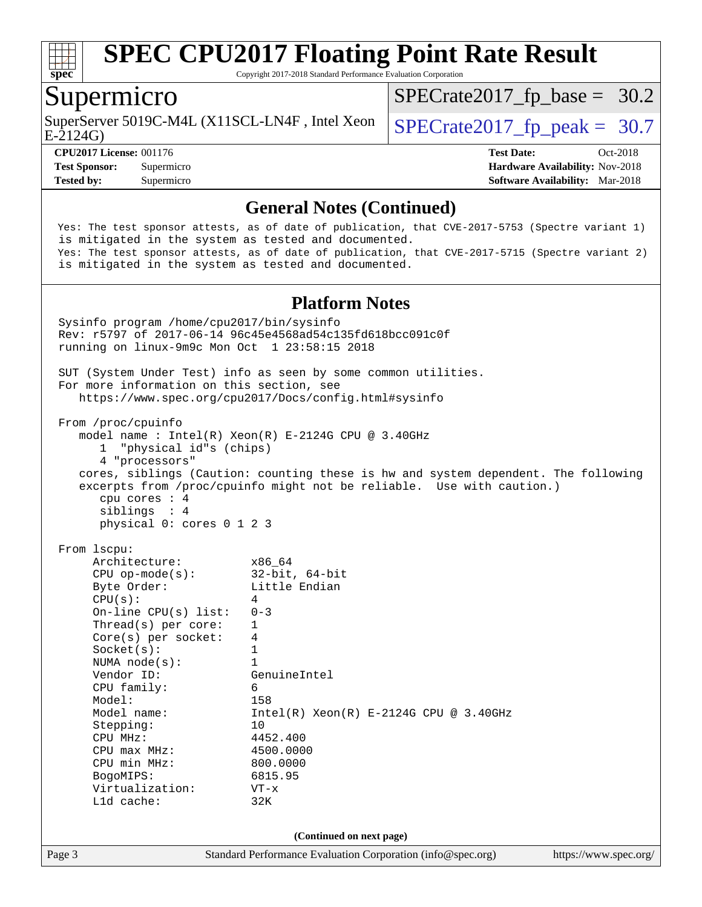

Copyright 2017-2018 Standard Performance Evaluation Corporation

#### Supermicro

SuperServer 5019C-M4L (X11SCL-LN4F, Intel Xeon  $\big|$  [SPECrate2017\\_fp\\_peak =](http://www.spec.org/auto/cpu2017/Docs/result-fields.html#SPECrate2017fppeak) 30.7

 $SPECTate2017_fp\_base = 30.2$ 

E-2124G)

**[Tested by:](http://www.spec.org/auto/cpu2017/Docs/result-fields.html#Testedby)** Supermicro **[Software Availability:](http://www.spec.org/auto/cpu2017/Docs/result-fields.html#SoftwareAvailability)** Mar-2018

**[CPU2017 License:](http://www.spec.org/auto/cpu2017/Docs/result-fields.html#CPU2017License)** 001176 **[Test Date:](http://www.spec.org/auto/cpu2017/Docs/result-fields.html#TestDate)** Oct-2018 **[Test Sponsor:](http://www.spec.org/auto/cpu2017/Docs/result-fields.html#TestSponsor)** Supermicro **[Hardware Availability:](http://www.spec.org/auto/cpu2017/Docs/result-fields.html#HardwareAvailability)** Nov-2018

#### **[General Notes \(Continued\)](http://www.spec.org/auto/cpu2017/Docs/result-fields.html#GeneralNotes)**

 Yes: The test sponsor attests, as of date of publication, that CVE-2017-5753 (Spectre variant 1) is mitigated in the system as tested and documented. Yes: The test sponsor attests, as of date of publication, that CVE-2017-5715 (Spectre variant 2) is mitigated in the system as tested and documented.

#### **[Platform Notes](http://www.spec.org/auto/cpu2017/Docs/result-fields.html#PlatformNotes)**

Page 3 Standard Performance Evaluation Corporation [\(info@spec.org\)](mailto:info@spec.org) <https://www.spec.org/> Sysinfo program /home/cpu2017/bin/sysinfo Rev: r5797 of 2017-06-14 96c45e4568ad54c135fd618bcc091c0f running on linux-9m9c Mon Oct 1 23:58:15 2018 SUT (System Under Test) info as seen by some common utilities. For more information on this section, see <https://www.spec.org/cpu2017/Docs/config.html#sysinfo> From /proc/cpuinfo model name : Intel(R) Xeon(R) E-2124G CPU @ 3.40GHz 1 "physical id"s (chips) 4 "processors" cores, siblings (Caution: counting these is hw and system dependent. The following excerpts from /proc/cpuinfo might not be reliable. Use with caution.) cpu cores : 4 siblings : 4 physical 0: cores 0 1 2 3 From lscpu: Architecture: x86\_64 CPU op-mode(s): 32-bit, 64-bit<br>Byte Order: Little Endian Little Endian  $CPU(s):$  4 On-line CPU(s) list: 0-3 Thread(s) per core: 1 Core(s) per socket: 4 Socket(s): 1 NUMA node(s): 1 Vendor ID: GenuineIntel CPU family: 6 Model: 158 Model name:  $Intel(R)$  Xeon(R) E-2124G CPU @ 3.40GHz Stepping: 10 CPU MHz: 4452.400 CPU max MHz: 4500.0000 CPU min MHz: 800.0000 BogoMIPS: 6815.95 Virtualization: VT-x L1d cache: 32K **(Continued on next page)**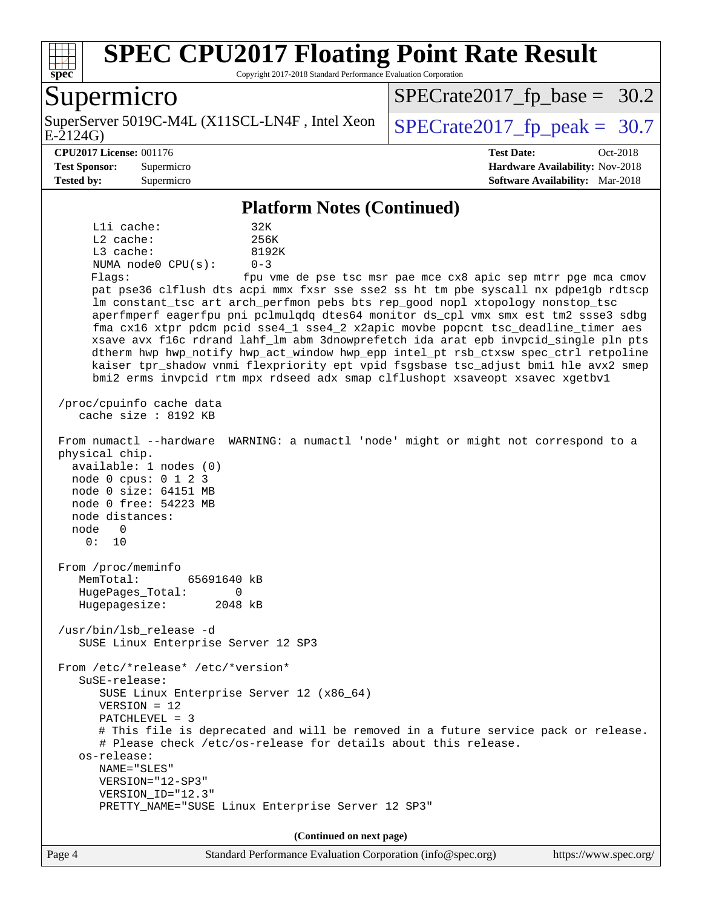

Copyright 2017-2018 Standard Performance Evaluation Corporation

### Supermicro

E-2124G) SuperServer 5019C-M4L (X11SCL-LN4F, Intel Xeon  $\big|$  SPECrate 2017 fp peak = 30.7

 $SPECTate2017_fp\_base = 30.2$ 

#### **[CPU2017 License:](http://www.spec.org/auto/cpu2017/Docs/result-fields.html#CPU2017License)** 001176 **[Test Date:](http://www.spec.org/auto/cpu2017/Docs/result-fields.html#TestDate)** Oct-2018

**[Test Sponsor:](http://www.spec.org/auto/cpu2017/Docs/result-fields.html#TestSponsor)** Supermicro **[Hardware Availability:](http://www.spec.org/auto/cpu2017/Docs/result-fields.html#HardwareAvailability)** Nov-2018 **[Tested by:](http://www.spec.org/auto/cpu2017/Docs/result-fields.html#Testedby)** Supermicro **[Software Availability:](http://www.spec.org/auto/cpu2017/Docs/result-fields.html#SoftwareAvailability)** Mar-2018

#### **[Platform Notes \(Continued\)](http://www.spec.org/auto/cpu2017/Docs/result-fields.html#PlatformNotes)**

L1i cache: 32K L2 cache: 256K L3 cache: 8192K NUMA node0 CPU(s): 0-3 Flags: fpu vme de pse tsc msr pae mce cx8 apic sep mtrr pge mca cmov

 pat pse36 clflush dts acpi mmx fxsr sse sse2 ss ht tm pbe syscall nx pdpe1gb rdtscp lm constant\_tsc art arch\_perfmon pebs bts rep\_good nopl xtopology nonstop\_tsc aperfmperf eagerfpu pni pclmulqdq dtes64 monitor ds\_cpl vmx smx est tm2 ssse3 sdbg fma cx16 xtpr pdcm pcid sse4\_1 sse4\_2 x2apic movbe popcnt tsc\_deadline\_timer aes xsave avx f16c rdrand lahf\_lm abm 3dnowprefetch ida arat epb invpcid\_single pln pts dtherm hwp hwp\_notify hwp\_act\_window hwp\_epp intel\_pt rsb\_ctxsw spec\_ctrl retpoline kaiser tpr\_shadow vnmi flexpriority ept vpid fsgsbase tsc\_adjust bmi1 hle avx2 smep bmi2 erms invpcid rtm mpx rdseed adx smap clflushopt xsaveopt xsavec xgetbv1

 /proc/cpuinfo cache data cache size : 8192 KB

From numactl --hardware WARNING: a numactl 'node' might or might not correspond to a

 physical chip. available: 1 nodes (0) node 0 cpus: 0 1 2 3 node 0 size: 64151 MB node 0 free: 54223 MB node distances: node 0 0: 10

 From /proc/meminfo MemTotal: 65691640 kB HugePages\_Total: 0 Hugepagesize: 2048 kB

 /usr/bin/lsb\_release -d SUSE Linux Enterprise Server 12 SP3

 From /etc/\*release\* /etc/\*version\* SuSE-release: SUSE Linux Enterprise Server 12 (x86\_64) VERSION = 12 PATCHLEVEL = 3 # This file is deprecated and will be removed in a future service pack or release. # Please check /etc/os-release for details about this release. os-release: NAME="SLES" VERSION="12-SP3" VERSION\_ID="12.3" PRETTY\_NAME="SUSE Linux Enterprise Server 12 SP3"

**(Continued on next page)**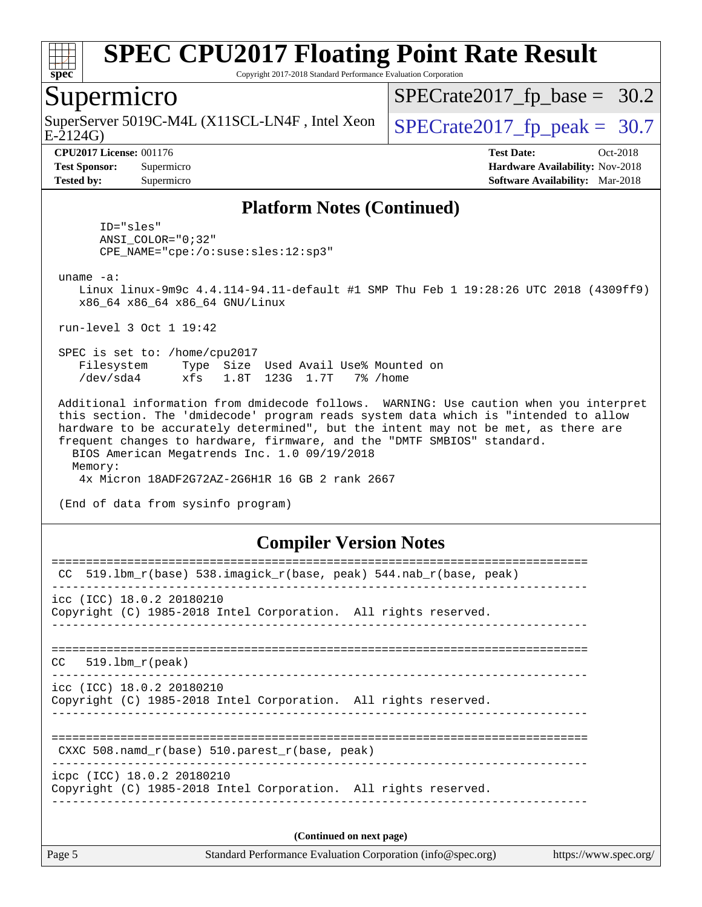

Copyright 2017-2018 Standard Performance Evaluation Corporation

#### Supermicro

SuperServer 5019C-M4L (X11SCL-LN4F, Intel Xeon  $\big|$  [SPECrate2017\\_fp\\_peak =](http://www.spec.org/auto/cpu2017/Docs/result-fields.html#SPECrate2017fppeak) 30.7

 $SPECTate2017_fp\_base = 30.2$ 

E-2124G)

**[CPU2017 License:](http://www.spec.org/auto/cpu2017/Docs/result-fields.html#CPU2017License)** 001176 **[Test Date:](http://www.spec.org/auto/cpu2017/Docs/result-fields.html#TestDate)** Oct-2018 **[Test Sponsor:](http://www.spec.org/auto/cpu2017/Docs/result-fields.html#TestSponsor)** Supermicro **[Hardware Availability:](http://www.spec.org/auto/cpu2017/Docs/result-fields.html#HardwareAvailability)** Nov-2018 **[Tested by:](http://www.spec.org/auto/cpu2017/Docs/result-fields.html#Testedby)** Supermicro **[Software Availability:](http://www.spec.org/auto/cpu2017/Docs/result-fields.html#SoftwareAvailability)** Mar-2018

#### **[Platform Notes \(Continued\)](http://www.spec.org/auto/cpu2017/Docs/result-fields.html#PlatformNotes)**

 ID="sles" ANSI\_COLOR="0;32" CPE\_NAME="cpe:/o:suse:sles:12:sp3"

uname -a:

 Linux linux-9m9c 4.4.114-94.11-default #1 SMP Thu Feb 1 19:28:26 UTC 2018 (4309ff9) x86\_64 x86\_64 x86\_64 GNU/Linux

run-level 3 Oct 1 19:42

 SPEC is set to: /home/cpu2017 Filesystem Type Size Used Avail Use% Mounted on /dev/sda4 xfs 1.8T 123G 1.7T 7% /home

 Additional information from dmidecode follows. WARNING: Use caution when you interpret this section. The 'dmidecode' program reads system data which is "intended to allow hardware to be accurately determined", but the intent may not be met, as there are frequent changes to hardware, firmware, and the "DMTF SMBIOS" standard. BIOS American Megatrends Inc. 1.0 09/19/2018 Memory:

4x Micron 18ADF2G72AZ-2G6H1R 16 GB 2 rank 2667

(End of data from sysinfo program)

#### **[Compiler Version Notes](http://www.spec.org/auto/cpu2017/Docs/result-fields.html#CompilerVersionNotes)**

| 519.1bm_r(base)    538.imagick_r(base, peak)    544.nab_r(base, peak)<br>CC                   |  |  |  |  |  |  |
|-----------------------------------------------------------------------------------------------|--|--|--|--|--|--|
| $\text{ice}$ (ICC) 18.0.2 20180210                                                            |  |  |  |  |  |  |
| Copyright (C) 1985-2018 Intel Corporation. All rights reserved.                               |  |  |  |  |  |  |
|                                                                                               |  |  |  |  |  |  |
| $CC = 519.1$ bm $r(\text{peak})$                                                              |  |  |  |  |  |  |
| icc (ICC) 18.0.2 20180210<br>Copyright (C) 1985-2018 Intel Corporation. All rights reserved.  |  |  |  |  |  |  |
|                                                                                               |  |  |  |  |  |  |
| CXXC 508. namd $r(base)$ 510. parest $r(base, peak)$                                          |  |  |  |  |  |  |
| icpc (ICC) 18.0.2 20180210<br>Copyright (C) 1985-2018 Intel Corporation. All rights reserved. |  |  |  |  |  |  |
|                                                                                               |  |  |  |  |  |  |
| (Continued on next page)                                                                      |  |  |  |  |  |  |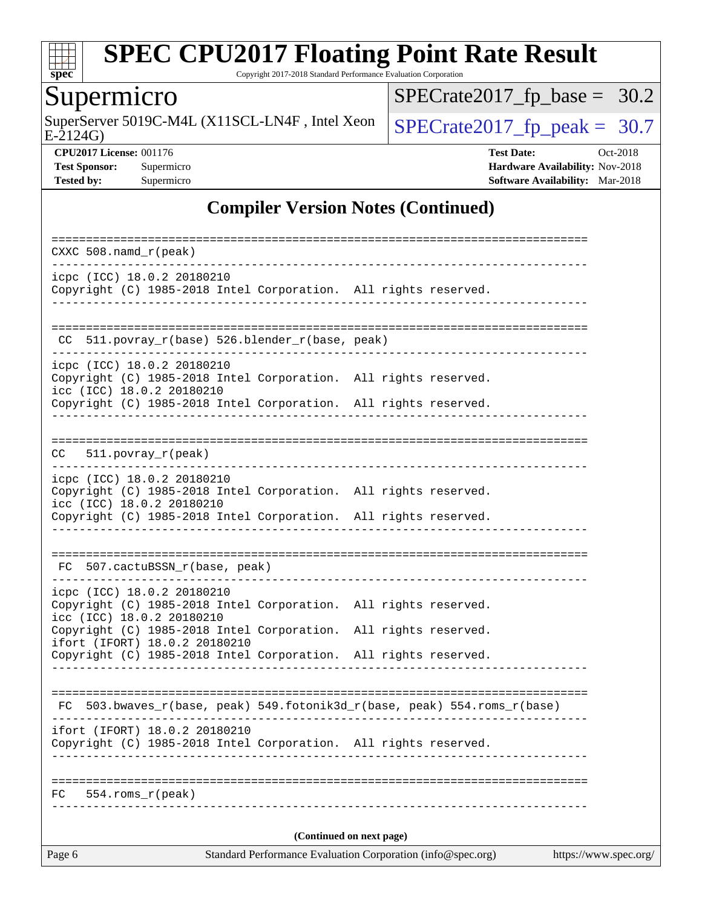

Copyright 2017-2018 Standard Performance Evaluation Corporation

## **Supermicro**

E-2124G) SuperServer 5019C-M4L (X11SCL-LN4F, Intel Xeon  $\sqrt{\text{SPECrate2017\_fp\_peak}} = 30.7$ 

[SPECrate2017\\_fp\\_base =](http://www.spec.org/auto/cpu2017/Docs/result-fields.html#SPECrate2017fpbase) 30.2

**[CPU2017 License:](http://www.spec.org/auto/cpu2017/Docs/result-fields.html#CPU2017License)** 001176 **[Test Date:](http://www.spec.org/auto/cpu2017/Docs/result-fields.html#TestDate)** Oct-2018 **[Test Sponsor:](http://www.spec.org/auto/cpu2017/Docs/result-fields.html#TestSponsor)** Supermicro **[Hardware Availability:](http://www.spec.org/auto/cpu2017/Docs/result-fields.html#HardwareAvailability)** Nov-2018 **[Tested by:](http://www.spec.org/auto/cpu2017/Docs/result-fields.html#Testedby)** Supermicro **Supermicro [Software Availability:](http://www.spec.org/auto/cpu2017/Docs/result-fields.html#SoftwareAvailability)** Mar-2018

#### **[Compiler Version Notes \(Continued\)](http://www.spec.org/auto/cpu2017/Docs/result-fields.html#CompilerVersionNotes)**

| Standard Performance Evaluation Corporation (info@spec.org)<br>https://www.spec.org/<br>Page 6                                                  |  |  |  |  |  |
|-------------------------------------------------------------------------------------------------------------------------------------------------|--|--|--|--|--|
| (Continued on next page)                                                                                                                        |  |  |  |  |  |
| 554.roms r(peak)<br>FC                                                                                                                          |  |  |  |  |  |
| ifort (IFORT) 18.0.2 20180210<br>Copyright (C) 1985-2018 Intel Corporation. All rights reserved.                                                |  |  |  |  |  |
| 503.bwaves_r(base, peak) 549.fotonik3d_r(base, peak) 554.roms_r(base)<br>FC                                                                     |  |  |  |  |  |
| Copyright (C) 1985-2018 Intel Corporation. All rights reserved.                                                                                 |  |  |  |  |  |
| icc (ICC) 18.0.2 20180210<br>Copyright (C) 1985-2018 Intel Corporation.<br>All rights reserved.<br>ifort (IFORT) 18.0.2 20180210                |  |  |  |  |  |
| icpc (ICC) 18.0.2 20180210<br>Copyright (C) 1985-2018 Intel Corporation. All rights reserved.                                                   |  |  |  |  |  |
| 507.cactuBSSN_r(base, peak)<br>FC.                                                                                                              |  |  |  |  |  |
| Copyright (C) 1985-2018 Intel Corporation. All rights reserved.                                                                                 |  |  |  |  |  |
| icpc (ICC) 18.0.2 20180210<br>Copyright (C) 1985-2018 Intel Corporation. All rights reserved.<br>icc (ICC) 18.0.2 20180210                      |  |  |  |  |  |
| $CC = 511.povray_r (peak)$                                                                                                                      |  |  |  |  |  |
| Copyright (C) 1985-2018 Intel Corporation. All rights reserved.                                                                                 |  |  |  |  |  |
| -----------------<br>icpc (ICC) 18.0.2 20180210<br>Copyright (C) 1985-2018 Intel Corporation. All rights reserved.<br>icc (ICC) 18.0.2 20180210 |  |  |  |  |  |
| 511.povray_r(base) 526.blender_r(base, peak)<br>CC.                                                                                             |  |  |  |  |  |
| icpc (ICC) 18.0.2 20180210<br>Copyright (C) 1985-2018 Intel Corporation. All rights reserved.                                                   |  |  |  |  |  |
| CXXC $508$ . namd $r$ (peak)                                                                                                                    |  |  |  |  |  |
|                                                                                                                                                 |  |  |  |  |  |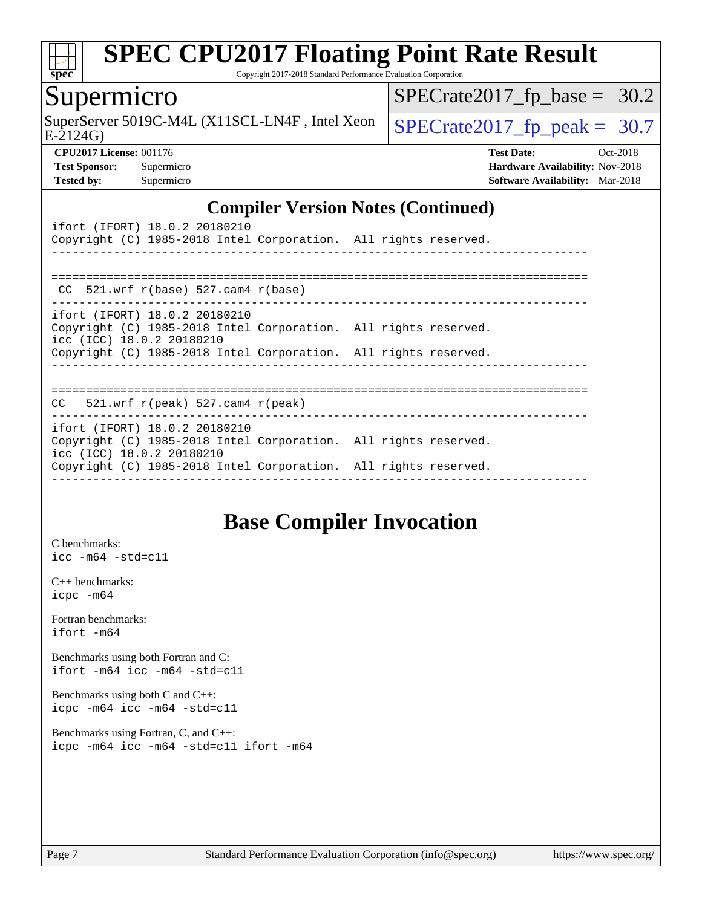

Copyright 2017-2018 Standard Performance Evaluation Corporation

#### Supermicro

SuperServer 5019C-M4L (X11SCL-LN4F, Intel Xeon  $\left\{ \text{SPECrate} 2017\_fp\_peak = 30.7 \right\}$ 

 $SPECTate2017_fp\_base = 30.2$ 

E-2124G)

**[CPU2017 License:](http://www.spec.org/auto/cpu2017/Docs/result-fields.html#CPU2017License)** 001176 **[Test Date:](http://www.spec.org/auto/cpu2017/Docs/result-fields.html#TestDate)** Oct-2018 **[Test Sponsor:](http://www.spec.org/auto/cpu2017/Docs/result-fields.html#TestSponsor)** Supermicro **[Hardware Availability:](http://www.spec.org/auto/cpu2017/Docs/result-fields.html#HardwareAvailability)** Nov-2018 **[Tested by:](http://www.spec.org/auto/cpu2017/Docs/result-fields.html#Testedby)** Supermicro **[Software Availability:](http://www.spec.org/auto/cpu2017/Docs/result-fields.html#SoftwareAvailability)** Mar-2018

#### **[Compiler Version Notes \(Continued\)](http://www.spec.org/auto/cpu2017/Docs/result-fields.html#CompilerVersionNotes)**

| ifort (IFORT) 18.0.2 20180210<br>Copyright (C) 1985-2018 Intel Corporation. All rights reserved.                              |  |
|-------------------------------------------------------------------------------------------------------------------------------|--|
| CC $521.wrf$ r(base) 527.cam4 r(base)                                                                                         |  |
| ifort (IFORT) 18.0.2 20180210<br>Copyright (C) 1985-2018 Intel Corporation. All rights reserved.<br>icc (ICC) 18.0.2 20180210 |  |
| Copyright (C) 1985-2018 Intel Corporation. All rights reserved.                                                               |  |
| $CC$ 521.wrf $r(\text{peak})$ 527.cam4 $r(\text{peak})$                                                                       |  |
| ifort (IFORT) 18.0.2 20180210<br>Copyright (C) 1985-2018 Intel Corporation. All rights reserved.<br>icc (ICC) 18.0.2 20180210 |  |
| Copyright (C) 1985-2018 Intel Corporation. All rights reserved.                                                               |  |

### **[Base Compiler Invocation](http://www.spec.org/auto/cpu2017/Docs/result-fields.html#BaseCompilerInvocation)**

[C benchmarks](http://www.spec.org/auto/cpu2017/Docs/result-fields.html#Cbenchmarks): [icc -m64 -std=c11](http://www.spec.org/cpu2017/results/res2018q4/cpu2017-20181112-09616.flags.html#user_CCbase_intel_icc_64bit_c11_33ee0cdaae7deeeab2a9725423ba97205ce30f63b9926c2519791662299b76a0318f32ddfffdc46587804de3178b4f9328c46fa7c2b0cd779d7a61945c91cd35)

[C++ benchmarks:](http://www.spec.org/auto/cpu2017/Docs/result-fields.html#CXXbenchmarks) [icpc -m64](http://www.spec.org/cpu2017/results/res2018q4/cpu2017-20181112-09616.flags.html#user_CXXbase_intel_icpc_64bit_4ecb2543ae3f1412ef961e0650ca070fec7b7afdcd6ed48761b84423119d1bf6bdf5cad15b44d48e7256388bc77273b966e5eb805aefd121eb22e9299b2ec9d9)

[Fortran benchmarks](http://www.spec.org/auto/cpu2017/Docs/result-fields.html#Fortranbenchmarks): [ifort -m64](http://www.spec.org/cpu2017/results/res2018q4/cpu2017-20181112-09616.flags.html#user_FCbase_intel_ifort_64bit_24f2bb282fbaeffd6157abe4f878425411749daecae9a33200eee2bee2fe76f3b89351d69a8130dd5949958ce389cf37ff59a95e7a40d588e8d3a57e0c3fd751)

[Benchmarks using both Fortran and C](http://www.spec.org/auto/cpu2017/Docs/result-fields.html#BenchmarksusingbothFortranandC): [ifort -m64](http://www.spec.org/cpu2017/results/res2018q4/cpu2017-20181112-09616.flags.html#user_CC_FCbase_intel_ifort_64bit_24f2bb282fbaeffd6157abe4f878425411749daecae9a33200eee2bee2fe76f3b89351d69a8130dd5949958ce389cf37ff59a95e7a40d588e8d3a57e0c3fd751) [icc -m64 -std=c11](http://www.spec.org/cpu2017/results/res2018q4/cpu2017-20181112-09616.flags.html#user_CC_FCbase_intel_icc_64bit_c11_33ee0cdaae7deeeab2a9725423ba97205ce30f63b9926c2519791662299b76a0318f32ddfffdc46587804de3178b4f9328c46fa7c2b0cd779d7a61945c91cd35)

[Benchmarks using both C and C++](http://www.spec.org/auto/cpu2017/Docs/result-fields.html#BenchmarksusingbothCandCXX): [icpc -m64](http://www.spec.org/cpu2017/results/res2018q4/cpu2017-20181112-09616.flags.html#user_CC_CXXbase_intel_icpc_64bit_4ecb2543ae3f1412ef961e0650ca070fec7b7afdcd6ed48761b84423119d1bf6bdf5cad15b44d48e7256388bc77273b966e5eb805aefd121eb22e9299b2ec9d9) [icc -m64 -std=c11](http://www.spec.org/cpu2017/results/res2018q4/cpu2017-20181112-09616.flags.html#user_CC_CXXbase_intel_icc_64bit_c11_33ee0cdaae7deeeab2a9725423ba97205ce30f63b9926c2519791662299b76a0318f32ddfffdc46587804de3178b4f9328c46fa7c2b0cd779d7a61945c91cd35)

[Benchmarks using Fortran, C, and C++:](http://www.spec.org/auto/cpu2017/Docs/result-fields.html#BenchmarksusingFortranCandCXX) [icpc -m64](http://www.spec.org/cpu2017/results/res2018q4/cpu2017-20181112-09616.flags.html#user_CC_CXX_FCbase_intel_icpc_64bit_4ecb2543ae3f1412ef961e0650ca070fec7b7afdcd6ed48761b84423119d1bf6bdf5cad15b44d48e7256388bc77273b966e5eb805aefd121eb22e9299b2ec9d9) [icc -m64 -std=c11](http://www.spec.org/cpu2017/results/res2018q4/cpu2017-20181112-09616.flags.html#user_CC_CXX_FCbase_intel_icc_64bit_c11_33ee0cdaae7deeeab2a9725423ba97205ce30f63b9926c2519791662299b76a0318f32ddfffdc46587804de3178b4f9328c46fa7c2b0cd779d7a61945c91cd35) [ifort -m64](http://www.spec.org/cpu2017/results/res2018q4/cpu2017-20181112-09616.flags.html#user_CC_CXX_FCbase_intel_ifort_64bit_24f2bb282fbaeffd6157abe4f878425411749daecae9a33200eee2bee2fe76f3b89351d69a8130dd5949958ce389cf37ff59a95e7a40d588e8d3a57e0c3fd751)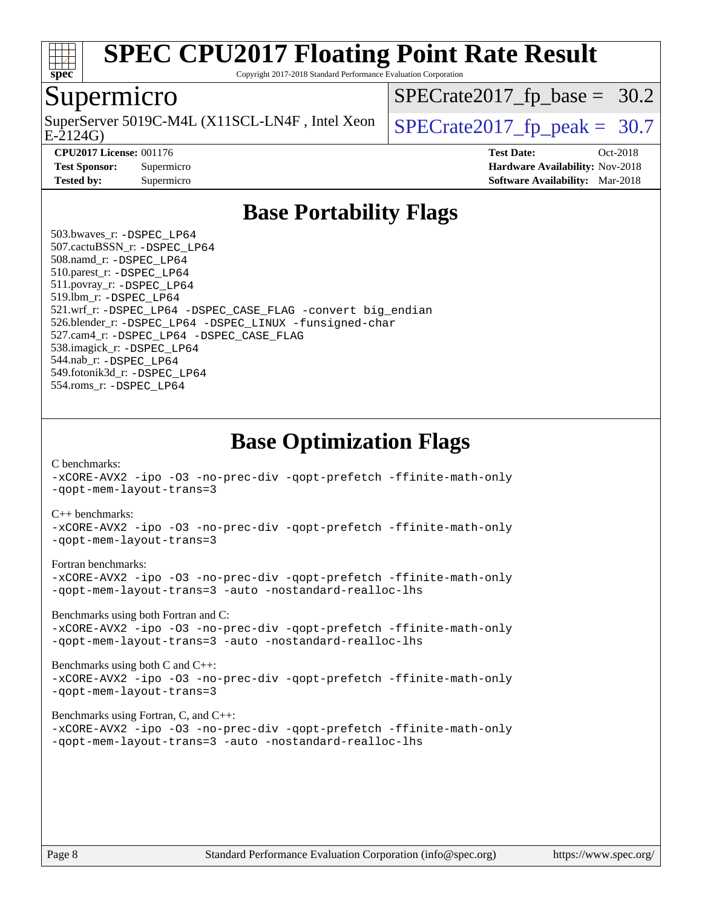

Copyright 2017-2018 Standard Performance Evaluation Corporation

#### Supermicro

E-2124G) SuperServer 5019C-M4L (X11SCL-LN4F, Intel Xeon  $\big|$  SPECrate 2017 fp peak = 30.7

 $SPECTate2017_fp\_base = 30.2$ 

**[Tested by:](http://www.spec.org/auto/cpu2017/Docs/result-fields.html#Testedby)** Supermicro **[Software Availability:](http://www.spec.org/auto/cpu2017/Docs/result-fields.html#SoftwareAvailability)** Mar-2018

**[CPU2017 License:](http://www.spec.org/auto/cpu2017/Docs/result-fields.html#CPU2017License)** 001176 **[Test Date:](http://www.spec.org/auto/cpu2017/Docs/result-fields.html#TestDate)** Oct-2018 **[Test Sponsor:](http://www.spec.org/auto/cpu2017/Docs/result-fields.html#TestSponsor)** Supermicro **[Hardware Availability:](http://www.spec.org/auto/cpu2017/Docs/result-fields.html#HardwareAvailability)** Nov-2018

## **[Base Portability Flags](http://www.spec.org/auto/cpu2017/Docs/result-fields.html#BasePortabilityFlags)**

 503.bwaves\_r: [-DSPEC\\_LP64](http://www.spec.org/cpu2017/results/res2018q4/cpu2017-20181112-09616.flags.html#suite_basePORTABILITY503_bwaves_r_DSPEC_LP64) 507.cactuBSSN\_r: [-DSPEC\\_LP64](http://www.spec.org/cpu2017/results/res2018q4/cpu2017-20181112-09616.flags.html#suite_basePORTABILITY507_cactuBSSN_r_DSPEC_LP64) 508.namd\_r: [-DSPEC\\_LP64](http://www.spec.org/cpu2017/results/res2018q4/cpu2017-20181112-09616.flags.html#suite_basePORTABILITY508_namd_r_DSPEC_LP64) 510.parest\_r: [-DSPEC\\_LP64](http://www.spec.org/cpu2017/results/res2018q4/cpu2017-20181112-09616.flags.html#suite_basePORTABILITY510_parest_r_DSPEC_LP64) 511.povray\_r: [-DSPEC\\_LP64](http://www.spec.org/cpu2017/results/res2018q4/cpu2017-20181112-09616.flags.html#suite_basePORTABILITY511_povray_r_DSPEC_LP64) 519.lbm\_r: [-DSPEC\\_LP64](http://www.spec.org/cpu2017/results/res2018q4/cpu2017-20181112-09616.flags.html#suite_basePORTABILITY519_lbm_r_DSPEC_LP64) 521.wrf\_r: [-DSPEC\\_LP64](http://www.spec.org/cpu2017/results/res2018q4/cpu2017-20181112-09616.flags.html#suite_basePORTABILITY521_wrf_r_DSPEC_LP64) [-DSPEC\\_CASE\\_FLAG](http://www.spec.org/cpu2017/results/res2018q4/cpu2017-20181112-09616.flags.html#b521.wrf_r_baseCPORTABILITY_DSPEC_CASE_FLAG) [-convert big\\_endian](http://www.spec.org/cpu2017/results/res2018q4/cpu2017-20181112-09616.flags.html#user_baseFPORTABILITY521_wrf_r_convert_big_endian_c3194028bc08c63ac5d04de18c48ce6d347e4e562e8892b8bdbdc0214820426deb8554edfa529a3fb25a586e65a3d812c835984020483e7e73212c4d31a38223) 526.blender\_r: [-DSPEC\\_LP64](http://www.spec.org/cpu2017/results/res2018q4/cpu2017-20181112-09616.flags.html#suite_basePORTABILITY526_blender_r_DSPEC_LP64) [-DSPEC\\_LINUX](http://www.spec.org/cpu2017/results/res2018q4/cpu2017-20181112-09616.flags.html#b526.blender_r_baseCPORTABILITY_DSPEC_LINUX) [-funsigned-char](http://www.spec.org/cpu2017/results/res2018q4/cpu2017-20181112-09616.flags.html#user_baseCPORTABILITY526_blender_r_force_uchar_40c60f00ab013830e2dd6774aeded3ff59883ba5a1fc5fc14077f794d777847726e2a5858cbc7672e36e1b067e7e5c1d9a74f7176df07886a243d7cc18edfe67) 527.cam4\_r: [-DSPEC\\_LP64](http://www.spec.org/cpu2017/results/res2018q4/cpu2017-20181112-09616.flags.html#suite_basePORTABILITY527_cam4_r_DSPEC_LP64) [-DSPEC\\_CASE\\_FLAG](http://www.spec.org/cpu2017/results/res2018q4/cpu2017-20181112-09616.flags.html#b527.cam4_r_baseCPORTABILITY_DSPEC_CASE_FLAG) 538.imagick\_r: [-DSPEC\\_LP64](http://www.spec.org/cpu2017/results/res2018q4/cpu2017-20181112-09616.flags.html#suite_basePORTABILITY538_imagick_r_DSPEC_LP64) 544.nab\_r: [-DSPEC\\_LP64](http://www.spec.org/cpu2017/results/res2018q4/cpu2017-20181112-09616.flags.html#suite_basePORTABILITY544_nab_r_DSPEC_LP64) 549.fotonik3d\_r: [-DSPEC\\_LP64](http://www.spec.org/cpu2017/results/res2018q4/cpu2017-20181112-09616.flags.html#suite_basePORTABILITY549_fotonik3d_r_DSPEC_LP64) 554.roms\_r: [-DSPEC\\_LP64](http://www.spec.org/cpu2017/results/res2018q4/cpu2017-20181112-09616.flags.html#suite_basePORTABILITY554_roms_r_DSPEC_LP64)

**[Base Optimization Flags](http://www.spec.org/auto/cpu2017/Docs/result-fields.html#BaseOptimizationFlags)**

[C benchmarks](http://www.spec.org/auto/cpu2017/Docs/result-fields.html#Cbenchmarks):

[-xCORE-AVX2](http://www.spec.org/cpu2017/results/res2018q4/cpu2017-20181112-09616.flags.html#user_CCbase_f-xCORE-AVX2) [-ipo](http://www.spec.org/cpu2017/results/res2018q4/cpu2017-20181112-09616.flags.html#user_CCbase_f-ipo) [-O3](http://www.spec.org/cpu2017/results/res2018q4/cpu2017-20181112-09616.flags.html#user_CCbase_f-O3) [-no-prec-div](http://www.spec.org/cpu2017/results/res2018q4/cpu2017-20181112-09616.flags.html#user_CCbase_f-no-prec-div) [-qopt-prefetch](http://www.spec.org/cpu2017/results/res2018q4/cpu2017-20181112-09616.flags.html#user_CCbase_f-qopt-prefetch) [-ffinite-math-only](http://www.spec.org/cpu2017/results/res2018q4/cpu2017-20181112-09616.flags.html#user_CCbase_f_finite_math_only_cb91587bd2077682c4b38af759c288ed7c732db004271a9512da14a4f8007909a5f1427ecbf1a0fb78ff2a814402c6114ac565ca162485bbcae155b5e4258871) [-qopt-mem-layout-trans=3](http://www.spec.org/cpu2017/results/res2018q4/cpu2017-20181112-09616.flags.html#user_CCbase_f-qopt-mem-layout-trans_de80db37974c74b1f0e20d883f0b675c88c3b01e9d123adea9b28688d64333345fb62bc4a798493513fdb68f60282f9a726aa07f478b2f7113531aecce732043)

#### [C++ benchmarks:](http://www.spec.org/auto/cpu2017/Docs/result-fields.html#CXXbenchmarks)

[-xCORE-AVX2](http://www.spec.org/cpu2017/results/res2018q4/cpu2017-20181112-09616.flags.html#user_CXXbase_f-xCORE-AVX2) [-ipo](http://www.spec.org/cpu2017/results/res2018q4/cpu2017-20181112-09616.flags.html#user_CXXbase_f-ipo) [-O3](http://www.spec.org/cpu2017/results/res2018q4/cpu2017-20181112-09616.flags.html#user_CXXbase_f-O3) [-no-prec-div](http://www.spec.org/cpu2017/results/res2018q4/cpu2017-20181112-09616.flags.html#user_CXXbase_f-no-prec-div) [-qopt-prefetch](http://www.spec.org/cpu2017/results/res2018q4/cpu2017-20181112-09616.flags.html#user_CXXbase_f-qopt-prefetch) [-ffinite-math-only](http://www.spec.org/cpu2017/results/res2018q4/cpu2017-20181112-09616.flags.html#user_CXXbase_f_finite_math_only_cb91587bd2077682c4b38af759c288ed7c732db004271a9512da14a4f8007909a5f1427ecbf1a0fb78ff2a814402c6114ac565ca162485bbcae155b5e4258871) [-qopt-mem-layout-trans=3](http://www.spec.org/cpu2017/results/res2018q4/cpu2017-20181112-09616.flags.html#user_CXXbase_f-qopt-mem-layout-trans_de80db37974c74b1f0e20d883f0b675c88c3b01e9d123adea9b28688d64333345fb62bc4a798493513fdb68f60282f9a726aa07f478b2f7113531aecce732043)

#### [Fortran benchmarks](http://www.spec.org/auto/cpu2017/Docs/result-fields.html#Fortranbenchmarks):

[-xCORE-AVX2](http://www.spec.org/cpu2017/results/res2018q4/cpu2017-20181112-09616.flags.html#user_FCbase_f-xCORE-AVX2) [-ipo](http://www.spec.org/cpu2017/results/res2018q4/cpu2017-20181112-09616.flags.html#user_FCbase_f-ipo) [-O3](http://www.spec.org/cpu2017/results/res2018q4/cpu2017-20181112-09616.flags.html#user_FCbase_f-O3) [-no-prec-div](http://www.spec.org/cpu2017/results/res2018q4/cpu2017-20181112-09616.flags.html#user_FCbase_f-no-prec-div) [-qopt-prefetch](http://www.spec.org/cpu2017/results/res2018q4/cpu2017-20181112-09616.flags.html#user_FCbase_f-qopt-prefetch) [-ffinite-math-only](http://www.spec.org/cpu2017/results/res2018q4/cpu2017-20181112-09616.flags.html#user_FCbase_f_finite_math_only_cb91587bd2077682c4b38af759c288ed7c732db004271a9512da14a4f8007909a5f1427ecbf1a0fb78ff2a814402c6114ac565ca162485bbcae155b5e4258871) [-qopt-mem-layout-trans=3](http://www.spec.org/cpu2017/results/res2018q4/cpu2017-20181112-09616.flags.html#user_FCbase_f-qopt-mem-layout-trans_de80db37974c74b1f0e20d883f0b675c88c3b01e9d123adea9b28688d64333345fb62bc4a798493513fdb68f60282f9a726aa07f478b2f7113531aecce732043) [-auto](http://www.spec.org/cpu2017/results/res2018q4/cpu2017-20181112-09616.flags.html#user_FCbase_f-auto) [-nostandard-realloc-lhs](http://www.spec.org/cpu2017/results/res2018q4/cpu2017-20181112-09616.flags.html#user_FCbase_f_2003_std_realloc_82b4557e90729c0f113870c07e44d33d6f5a304b4f63d4c15d2d0f1fab99f5daaed73bdb9275d9ae411527f28b936061aa8b9c8f2d63842963b95c9dd6426b8a)

[Benchmarks using both Fortran and C](http://www.spec.org/auto/cpu2017/Docs/result-fields.html#BenchmarksusingbothFortranandC):

[-xCORE-AVX2](http://www.spec.org/cpu2017/results/res2018q4/cpu2017-20181112-09616.flags.html#user_CC_FCbase_f-xCORE-AVX2) [-ipo](http://www.spec.org/cpu2017/results/res2018q4/cpu2017-20181112-09616.flags.html#user_CC_FCbase_f-ipo) [-O3](http://www.spec.org/cpu2017/results/res2018q4/cpu2017-20181112-09616.flags.html#user_CC_FCbase_f-O3) [-no-prec-div](http://www.spec.org/cpu2017/results/res2018q4/cpu2017-20181112-09616.flags.html#user_CC_FCbase_f-no-prec-div) [-qopt-prefetch](http://www.spec.org/cpu2017/results/res2018q4/cpu2017-20181112-09616.flags.html#user_CC_FCbase_f-qopt-prefetch) [-ffinite-math-only](http://www.spec.org/cpu2017/results/res2018q4/cpu2017-20181112-09616.flags.html#user_CC_FCbase_f_finite_math_only_cb91587bd2077682c4b38af759c288ed7c732db004271a9512da14a4f8007909a5f1427ecbf1a0fb78ff2a814402c6114ac565ca162485bbcae155b5e4258871) [-qopt-mem-layout-trans=3](http://www.spec.org/cpu2017/results/res2018q4/cpu2017-20181112-09616.flags.html#user_CC_FCbase_f-qopt-mem-layout-trans_de80db37974c74b1f0e20d883f0b675c88c3b01e9d123adea9b28688d64333345fb62bc4a798493513fdb68f60282f9a726aa07f478b2f7113531aecce732043) [-auto](http://www.spec.org/cpu2017/results/res2018q4/cpu2017-20181112-09616.flags.html#user_CC_FCbase_f-auto) [-nostandard-realloc-lhs](http://www.spec.org/cpu2017/results/res2018q4/cpu2017-20181112-09616.flags.html#user_CC_FCbase_f_2003_std_realloc_82b4557e90729c0f113870c07e44d33d6f5a304b4f63d4c15d2d0f1fab99f5daaed73bdb9275d9ae411527f28b936061aa8b9c8f2d63842963b95c9dd6426b8a)

[Benchmarks using both C and C++](http://www.spec.org/auto/cpu2017/Docs/result-fields.html#BenchmarksusingbothCandCXX): [-xCORE-AVX2](http://www.spec.org/cpu2017/results/res2018q4/cpu2017-20181112-09616.flags.html#user_CC_CXXbase_f-xCORE-AVX2) [-ipo](http://www.spec.org/cpu2017/results/res2018q4/cpu2017-20181112-09616.flags.html#user_CC_CXXbase_f-ipo) [-O3](http://www.spec.org/cpu2017/results/res2018q4/cpu2017-20181112-09616.flags.html#user_CC_CXXbase_f-O3) [-no-prec-div](http://www.spec.org/cpu2017/results/res2018q4/cpu2017-20181112-09616.flags.html#user_CC_CXXbase_f-no-prec-div) [-qopt-prefetch](http://www.spec.org/cpu2017/results/res2018q4/cpu2017-20181112-09616.flags.html#user_CC_CXXbase_f-qopt-prefetch) [-ffinite-math-only](http://www.spec.org/cpu2017/results/res2018q4/cpu2017-20181112-09616.flags.html#user_CC_CXXbase_f_finite_math_only_cb91587bd2077682c4b38af759c288ed7c732db004271a9512da14a4f8007909a5f1427ecbf1a0fb78ff2a814402c6114ac565ca162485bbcae155b5e4258871) [-qopt-mem-layout-trans=3](http://www.spec.org/cpu2017/results/res2018q4/cpu2017-20181112-09616.flags.html#user_CC_CXXbase_f-qopt-mem-layout-trans_de80db37974c74b1f0e20d883f0b675c88c3b01e9d123adea9b28688d64333345fb62bc4a798493513fdb68f60282f9a726aa07f478b2f7113531aecce732043)

#### [Benchmarks using Fortran, C, and C++:](http://www.spec.org/auto/cpu2017/Docs/result-fields.html#BenchmarksusingFortranCandCXX)

[-xCORE-AVX2](http://www.spec.org/cpu2017/results/res2018q4/cpu2017-20181112-09616.flags.html#user_CC_CXX_FCbase_f-xCORE-AVX2) [-ipo](http://www.spec.org/cpu2017/results/res2018q4/cpu2017-20181112-09616.flags.html#user_CC_CXX_FCbase_f-ipo) [-O3](http://www.spec.org/cpu2017/results/res2018q4/cpu2017-20181112-09616.flags.html#user_CC_CXX_FCbase_f-O3) [-no-prec-div](http://www.spec.org/cpu2017/results/res2018q4/cpu2017-20181112-09616.flags.html#user_CC_CXX_FCbase_f-no-prec-div) [-qopt-prefetch](http://www.spec.org/cpu2017/results/res2018q4/cpu2017-20181112-09616.flags.html#user_CC_CXX_FCbase_f-qopt-prefetch) [-ffinite-math-only](http://www.spec.org/cpu2017/results/res2018q4/cpu2017-20181112-09616.flags.html#user_CC_CXX_FCbase_f_finite_math_only_cb91587bd2077682c4b38af759c288ed7c732db004271a9512da14a4f8007909a5f1427ecbf1a0fb78ff2a814402c6114ac565ca162485bbcae155b5e4258871) [-qopt-mem-layout-trans=3](http://www.spec.org/cpu2017/results/res2018q4/cpu2017-20181112-09616.flags.html#user_CC_CXX_FCbase_f-qopt-mem-layout-trans_de80db37974c74b1f0e20d883f0b675c88c3b01e9d123adea9b28688d64333345fb62bc4a798493513fdb68f60282f9a726aa07f478b2f7113531aecce732043) [-auto](http://www.spec.org/cpu2017/results/res2018q4/cpu2017-20181112-09616.flags.html#user_CC_CXX_FCbase_f-auto) [-nostandard-realloc-lhs](http://www.spec.org/cpu2017/results/res2018q4/cpu2017-20181112-09616.flags.html#user_CC_CXX_FCbase_f_2003_std_realloc_82b4557e90729c0f113870c07e44d33d6f5a304b4f63d4c15d2d0f1fab99f5daaed73bdb9275d9ae411527f28b936061aa8b9c8f2d63842963b95c9dd6426b8a)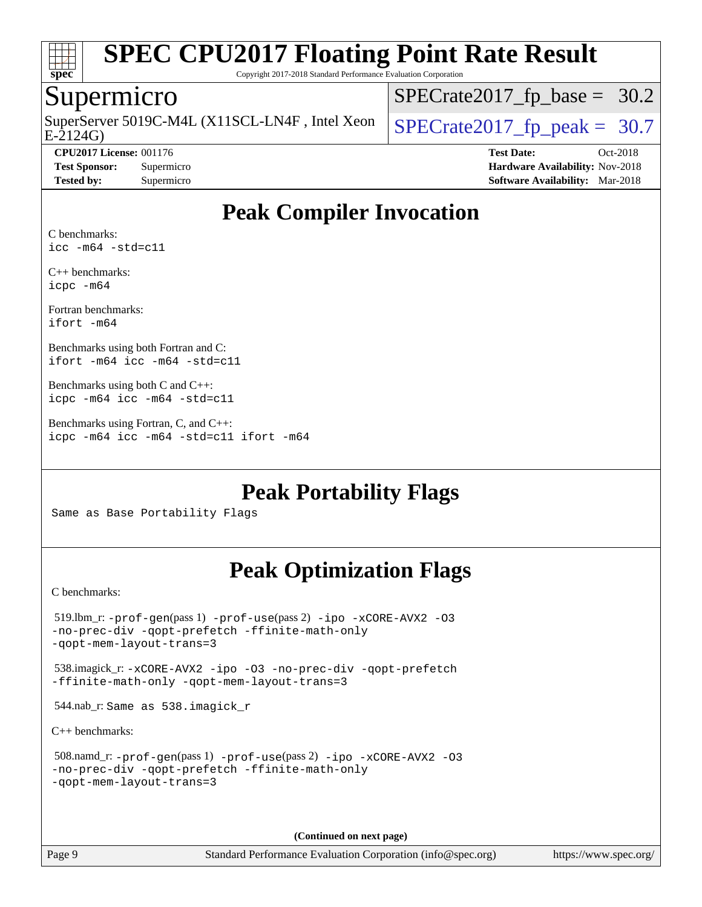

Copyright 2017-2018 Standard Performance Evaluation Corporation

#### Supermicro

E-2124G) SuperServer 5019C-M4L (X11SCL-LN4F, Intel Xeon  $\big|$  [SPECrate2017\\_fp\\_peak =](http://www.spec.org/auto/cpu2017/Docs/result-fields.html#SPECrate2017fppeak) 30.7

 $SPECrate2017_fp\_base = 30.2$ 

**[CPU2017 License:](http://www.spec.org/auto/cpu2017/Docs/result-fields.html#CPU2017License)** 001176 **[Test Date:](http://www.spec.org/auto/cpu2017/Docs/result-fields.html#TestDate)** Oct-2018 **[Test Sponsor:](http://www.spec.org/auto/cpu2017/Docs/result-fields.html#TestSponsor)** Supermicro **[Hardware Availability:](http://www.spec.org/auto/cpu2017/Docs/result-fields.html#HardwareAvailability)** Nov-2018 **[Tested by:](http://www.spec.org/auto/cpu2017/Docs/result-fields.html#Testedby)** Supermicro **[Software Availability:](http://www.spec.org/auto/cpu2017/Docs/result-fields.html#SoftwareAvailability)** Mar-2018

## **[Peak Compiler Invocation](http://www.spec.org/auto/cpu2017/Docs/result-fields.html#PeakCompilerInvocation)**

[C benchmarks:](http://www.spec.org/auto/cpu2017/Docs/result-fields.html#Cbenchmarks) [icc -m64 -std=c11](http://www.spec.org/cpu2017/results/res2018q4/cpu2017-20181112-09616.flags.html#user_CCpeak_intel_icc_64bit_c11_33ee0cdaae7deeeab2a9725423ba97205ce30f63b9926c2519791662299b76a0318f32ddfffdc46587804de3178b4f9328c46fa7c2b0cd779d7a61945c91cd35)

[C++ benchmarks:](http://www.spec.org/auto/cpu2017/Docs/result-fields.html#CXXbenchmarks) [icpc -m64](http://www.spec.org/cpu2017/results/res2018q4/cpu2017-20181112-09616.flags.html#user_CXXpeak_intel_icpc_64bit_4ecb2543ae3f1412ef961e0650ca070fec7b7afdcd6ed48761b84423119d1bf6bdf5cad15b44d48e7256388bc77273b966e5eb805aefd121eb22e9299b2ec9d9)

[Fortran benchmarks](http://www.spec.org/auto/cpu2017/Docs/result-fields.html#Fortranbenchmarks): [ifort -m64](http://www.spec.org/cpu2017/results/res2018q4/cpu2017-20181112-09616.flags.html#user_FCpeak_intel_ifort_64bit_24f2bb282fbaeffd6157abe4f878425411749daecae9a33200eee2bee2fe76f3b89351d69a8130dd5949958ce389cf37ff59a95e7a40d588e8d3a57e0c3fd751)

[Benchmarks using both Fortran and C:](http://www.spec.org/auto/cpu2017/Docs/result-fields.html#BenchmarksusingbothFortranandC) [ifort -m64](http://www.spec.org/cpu2017/results/res2018q4/cpu2017-20181112-09616.flags.html#user_CC_FCpeak_intel_ifort_64bit_24f2bb282fbaeffd6157abe4f878425411749daecae9a33200eee2bee2fe76f3b89351d69a8130dd5949958ce389cf37ff59a95e7a40d588e8d3a57e0c3fd751) [icc -m64 -std=c11](http://www.spec.org/cpu2017/results/res2018q4/cpu2017-20181112-09616.flags.html#user_CC_FCpeak_intel_icc_64bit_c11_33ee0cdaae7deeeab2a9725423ba97205ce30f63b9926c2519791662299b76a0318f32ddfffdc46587804de3178b4f9328c46fa7c2b0cd779d7a61945c91cd35)

[Benchmarks using both C and C++](http://www.spec.org/auto/cpu2017/Docs/result-fields.html#BenchmarksusingbothCandCXX): [icpc -m64](http://www.spec.org/cpu2017/results/res2018q4/cpu2017-20181112-09616.flags.html#user_CC_CXXpeak_intel_icpc_64bit_4ecb2543ae3f1412ef961e0650ca070fec7b7afdcd6ed48761b84423119d1bf6bdf5cad15b44d48e7256388bc77273b966e5eb805aefd121eb22e9299b2ec9d9) [icc -m64 -std=c11](http://www.spec.org/cpu2017/results/res2018q4/cpu2017-20181112-09616.flags.html#user_CC_CXXpeak_intel_icc_64bit_c11_33ee0cdaae7deeeab2a9725423ba97205ce30f63b9926c2519791662299b76a0318f32ddfffdc46587804de3178b4f9328c46fa7c2b0cd779d7a61945c91cd35)

[Benchmarks using Fortran, C, and C++:](http://www.spec.org/auto/cpu2017/Docs/result-fields.html#BenchmarksusingFortranCandCXX) [icpc -m64](http://www.spec.org/cpu2017/results/res2018q4/cpu2017-20181112-09616.flags.html#user_CC_CXX_FCpeak_intel_icpc_64bit_4ecb2543ae3f1412ef961e0650ca070fec7b7afdcd6ed48761b84423119d1bf6bdf5cad15b44d48e7256388bc77273b966e5eb805aefd121eb22e9299b2ec9d9) [icc -m64 -std=c11](http://www.spec.org/cpu2017/results/res2018q4/cpu2017-20181112-09616.flags.html#user_CC_CXX_FCpeak_intel_icc_64bit_c11_33ee0cdaae7deeeab2a9725423ba97205ce30f63b9926c2519791662299b76a0318f32ddfffdc46587804de3178b4f9328c46fa7c2b0cd779d7a61945c91cd35) [ifort -m64](http://www.spec.org/cpu2017/results/res2018q4/cpu2017-20181112-09616.flags.html#user_CC_CXX_FCpeak_intel_ifort_64bit_24f2bb282fbaeffd6157abe4f878425411749daecae9a33200eee2bee2fe76f3b89351d69a8130dd5949958ce389cf37ff59a95e7a40d588e8d3a57e0c3fd751)

**[Peak Portability Flags](http://www.spec.org/auto/cpu2017/Docs/result-fields.html#PeakPortabilityFlags)**

Same as Base Portability Flags

## **[Peak Optimization Flags](http://www.spec.org/auto/cpu2017/Docs/result-fields.html#PeakOptimizationFlags)**

[C benchmarks](http://www.spec.org/auto/cpu2017/Docs/result-fields.html#Cbenchmarks):

```
 519.lbm_r: -prof-gen(pass 1) -prof-use(pass 2) -ipo -xCORE-AVX2 -O3
-no-prec-div -qopt-prefetch -ffinite-math-only
-qopt-mem-layout-trans=3
 538.imagick_r: -xCORE-AVX2 -ipo -O3 -no-prec-div -qopt-prefetch
-ffinite-math-only -qopt-mem-layout-trans=3
 544.nab_r: Same as 538.imagick_r
C++ benchmarks: 
 508.namd_r: -prof-gen(pass 1) -prof-use(pass 2) -ipo -xCORE-AVX2 -O3
-no-prec-div -qopt-prefetch -ffinite-math-only
-qopt-mem-layout-trans=3
```
**(Continued on next page)**

Page 9 Standard Performance Evaluation Corporation [\(info@spec.org\)](mailto:info@spec.org) <https://www.spec.org/>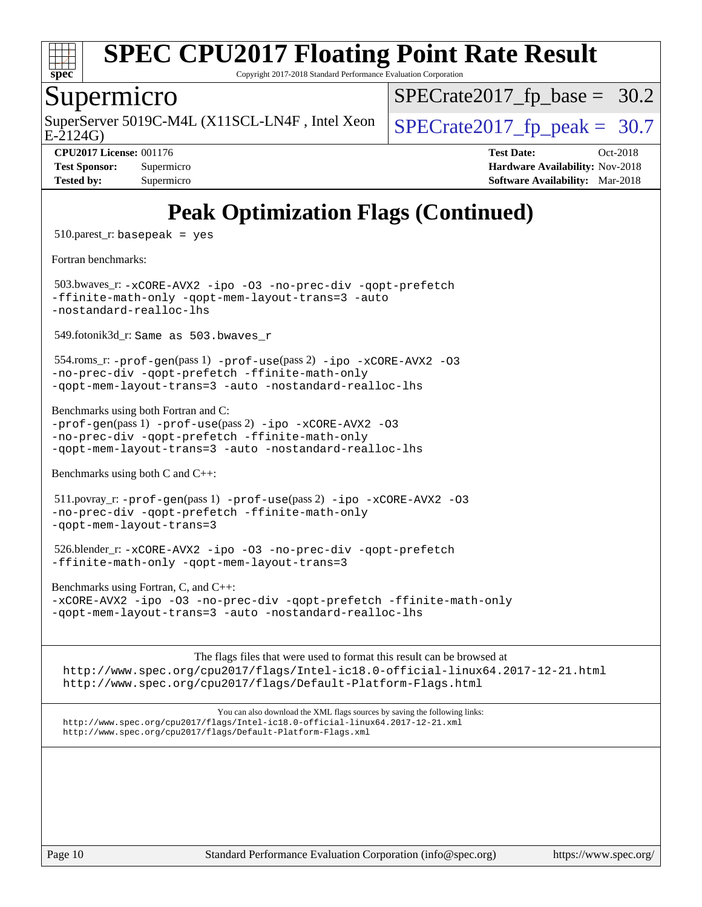

Copyright 2017-2018 Standard Performance Evaluation Corporation

#### Supermicro

SuperServer 5019C-M4L (X11SCL-LN4F, Intel Xeon  $\big|$  SPECrate 2017 fp peak = 30.7

 $SPECrate2017_fp\_base = 30.2$ 

E-2124G)

**[CPU2017 License:](http://www.spec.org/auto/cpu2017/Docs/result-fields.html#CPU2017License)** 001176 **[Test Date:](http://www.spec.org/auto/cpu2017/Docs/result-fields.html#TestDate)** Oct-2018 **[Test Sponsor:](http://www.spec.org/auto/cpu2017/Docs/result-fields.html#TestSponsor)** Supermicro **[Hardware Availability:](http://www.spec.org/auto/cpu2017/Docs/result-fields.html#HardwareAvailability)** Nov-2018 **[Tested by:](http://www.spec.org/auto/cpu2017/Docs/result-fields.html#Testedby)** Supermicro **Supermicro [Software Availability:](http://www.spec.org/auto/cpu2017/Docs/result-fields.html#SoftwareAvailability)** Mar-2018

## **[Peak Optimization Flags \(Continued\)](http://www.spec.org/auto/cpu2017/Docs/result-fields.html#PeakOptimizationFlags)**

 $510.parest_r:$  basepeak = yes

[Fortran benchmarks](http://www.spec.org/auto/cpu2017/Docs/result-fields.html#Fortranbenchmarks):

 503.bwaves\_r: [-xCORE-AVX2](http://www.spec.org/cpu2017/results/res2018q4/cpu2017-20181112-09616.flags.html#user_peakFOPTIMIZE503_bwaves_r_f-xCORE-AVX2) [-ipo](http://www.spec.org/cpu2017/results/res2018q4/cpu2017-20181112-09616.flags.html#user_peakFOPTIMIZE503_bwaves_r_f-ipo) [-O3](http://www.spec.org/cpu2017/results/res2018q4/cpu2017-20181112-09616.flags.html#user_peakFOPTIMIZE503_bwaves_r_f-O3) [-no-prec-div](http://www.spec.org/cpu2017/results/res2018q4/cpu2017-20181112-09616.flags.html#user_peakFOPTIMIZE503_bwaves_r_f-no-prec-div) [-qopt-prefetch](http://www.spec.org/cpu2017/results/res2018q4/cpu2017-20181112-09616.flags.html#user_peakFOPTIMIZE503_bwaves_r_f-qopt-prefetch) [-ffinite-math-only](http://www.spec.org/cpu2017/results/res2018q4/cpu2017-20181112-09616.flags.html#user_peakFOPTIMIZE503_bwaves_r_f_finite_math_only_cb91587bd2077682c4b38af759c288ed7c732db004271a9512da14a4f8007909a5f1427ecbf1a0fb78ff2a814402c6114ac565ca162485bbcae155b5e4258871) [-qopt-mem-layout-trans=3](http://www.spec.org/cpu2017/results/res2018q4/cpu2017-20181112-09616.flags.html#user_peakFOPTIMIZE503_bwaves_r_f-qopt-mem-layout-trans_de80db37974c74b1f0e20d883f0b675c88c3b01e9d123adea9b28688d64333345fb62bc4a798493513fdb68f60282f9a726aa07f478b2f7113531aecce732043) [-auto](http://www.spec.org/cpu2017/results/res2018q4/cpu2017-20181112-09616.flags.html#user_peakFOPTIMIZE503_bwaves_r_f-auto) [-nostandard-realloc-lhs](http://www.spec.org/cpu2017/results/res2018q4/cpu2017-20181112-09616.flags.html#user_peakEXTRA_FOPTIMIZE503_bwaves_r_f_2003_std_realloc_82b4557e90729c0f113870c07e44d33d6f5a304b4f63d4c15d2d0f1fab99f5daaed73bdb9275d9ae411527f28b936061aa8b9c8f2d63842963b95c9dd6426b8a)

549.fotonik3d\_r: Same as 503.bwaves\_r

 554.roms\_r: [-prof-gen](http://www.spec.org/cpu2017/results/res2018q4/cpu2017-20181112-09616.flags.html#user_peakPASS1_FFLAGSPASS1_LDFLAGS554_roms_r_prof_gen_5aa4926d6013ddb2a31985c654b3eb18169fc0c6952a63635c234f711e6e63dd76e94ad52365559451ec499a2cdb89e4dc58ba4c67ef54ca681ffbe1461d6b36)(pass 1) [-prof-use](http://www.spec.org/cpu2017/results/res2018q4/cpu2017-20181112-09616.flags.html#user_peakPASS2_FFLAGSPASS2_LDFLAGS554_roms_r_prof_use_1a21ceae95f36a2b53c25747139a6c16ca95bd9def2a207b4f0849963b97e94f5260e30a0c64f4bb623698870e679ca08317ef8150905d41bd88c6f78df73f19)(pass 2) [-ipo](http://www.spec.org/cpu2017/results/res2018q4/cpu2017-20181112-09616.flags.html#user_peakPASS1_FOPTIMIZEPASS2_FOPTIMIZE554_roms_r_f-ipo) [-xCORE-AVX2](http://www.spec.org/cpu2017/results/res2018q4/cpu2017-20181112-09616.flags.html#user_peakPASS2_FOPTIMIZE554_roms_r_f-xCORE-AVX2) [-O3](http://www.spec.org/cpu2017/results/res2018q4/cpu2017-20181112-09616.flags.html#user_peakPASS1_FOPTIMIZEPASS2_FOPTIMIZE554_roms_r_f-O3) [-no-prec-div](http://www.spec.org/cpu2017/results/res2018q4/cpu2017-20181112-09616.flags.html#user_peakPASS1_FOPTIMIZEPASS2_FOPTIMIZE554_roms_r_f-no-prec-div) [-qopt-prefetch](http://www.spec.org/cpu2017/results/res2018q4/cpu2017-20181112-09616.flags.html#user_peakPASS1_FOPTIMIZEPASS2_FOPTIMIZE554_roms_r_f-qopt-prefetch) [-ffinite-math-only](http://www.spec.org/cpu2017/results/res2018q4/cpu2017-20181112-09616.flags.html#user_peakPASS1_FOPTIMIZEPASS2_FOPTIMIZE554_roms_r_f_finite_math_only_cb91587bd2077682c4b38af759c288ed7c732db004271a9512da14a4f8007909a5f1427ecbf1a0fb78ff2a814402c6114ac565ca162485bbcae155b5e4258871) [-qopt-mem-layout-trans=3](http://www.spec.org/cpu2017/results/res2018q4/cpu2017-20181112-09616.flags.html#user_peakPASS1_FOPTIMIZEPASS2_FOPTIMIZE554_roms_r_f-qopt-mem-layout-trans_de80db37974c74b1f0e20d883f0b675c88c3b01e9d123adea9b28688d64333345fb62bc4a798493513fdb68f60282f9a726aa07f478b2f7113531aecce732043) [-auto](http://www.spec.org/cpu2017/results/res2018q4/cpu2017-20181112-09616.flags.html#user_peakPASS2_FOPTIMIZE554_roms_r_f-auto) [-nostandard-realloc-lhs](http://www.spec.org/cpu2017/results/res2018q4/cpu2017-20181112-09616.flags.html#user_peakEXTRA_FOPTIMIZE554_roms_r_f_2003_std_realloc_82b4557e90729c0f113870c07e44d33d6f5a304b4f63d4c15d2d0f1fab99f5daaed73bdb9275d9ae411527f28b936061aa8b9c8f2d63842963b95c9dd6426b8a)

[Benchmarks using both Fortran and C](http://www.spec.org/auto/cpu2017/Docs/result-fields.html#BenchmarksusingbothFortranandC):

[-prof-gen](http://www.spec.org/cpu2017/results/res2018q4/cpu2017-20181112-09616.flags.html#user_CC_FCpeak_prof_gen_5aa4926d6013ddb2a31985c654b3eb18169fc0c6952a63635c234f711e6e63dd76e94ad52365559451ec499a2cdb89e4dc58ba4c67ef54ca681ffbe1461d6b36)(pass 1) [-prof-use](http://www.spec.org/cpu2017/results/res2018q4/cpu2017-20181112-09616.flags.html#user_CC_FCpeak_prof_use_1a21ceae95f36a2b53c25747139a6c16ca95bd9def2a207b4f0849963b97e94f5260e30a0c64f4bb623698870e679ca08317ef8150905d41bd88c6f78df73f19)(pass 2) [-ipo](http://www.spec.org/cpu2017/results/res2018q4/cpu2017-20181112-09616.flags.html#user_CC_FCpeak_f-ipo) [-xCORE-AVX2](http://www.spec.org/cpu2017/results/res2018q4/cpu2017-20181112-09616.flags.html#user_CC_FCpeak_f-xCORE-AVX2) [-O3](http://www.spec.org/cpu2017/results/res2018q4/cpu2017-20181112-09616.flags.html#user_CC_FCpeak_f-O3) [-no-prec-div](http://www.spec.org/cpu2017/results/res2018q4/cpu2017-20181112-09616.flags.html#user_CC_FCpeak_f-no-prec-div) [-qopt-prefetch](http://www.spec.org/cpu2017/results/res2018q4/cpu2017-20181112-09616.flags.html#user_CC_FCpeak_f-qopt-prefetch) [-ffinite-math-only](http://www.spec.org/cpu2017/results/res2018q4/cpu2017-20181112-09616.flags.html#user_CC_FCpeak_f_finite_math_only_cb91587bd2077682c4b38af759c288ed7c732db004271a9512da14a4f8007909a5f1427ecbf1a0fb78ff2a814402c6114ac565ca162485bbcae155b5e4258871) [-qopt-mem-layout-trans=3](http://www.spec.org/cpu2017/results/res2018q4/cpu2017-20181112-09616.flags.html#user_CC_FCpeak_f-qopt-mem-layout-trans_de80db37974c74b1f0e20d883f0b675c88c3b01e9d123adea9b28688d64333345fb62bc4a798493513fdb68f60282f9a726aa07f478b2f7113531aecce732043) [-auto](http://www.spec.org/cpu2017/results/res2018q4/cpu2017-20181112-09616.flags.html#user_CC_FCpeak_f-auto) [-nostandard-realloc-lhs](http://www.spec.org/cpu2017/results/res2018q4/cpu2017-20181112-09616.flags.html#user_CC_FCpeak_f_2003_std_realloc_82b4557e90729c0f113870c07e44d33d6f5a304b4f63d4c15d2d0f1fab99f5daaed73bdb9275d9ae411527f28b936061aa8b9c8f2d63842963b95c9dd6426b8a)

[Benchmarks using both C and C++](http://www.spec.org/auto/cpu2017/Docs/result-fields.html#BenchmarksusingbothCandCXX):

```
 511.povray_r: -prof-gen(pass 1) -prof-use(pass 2) -ipo -xCORE-AVX2 -O3
-no-prec-div -qopt-prefetch -ffinite-math-only
-qopt-mem-layout-trans=3
```

```
 526.blender_r: -xCORE-AVX2 -ipo -O3 -no-prec-div -qopt-prefetch
-ffinite-math-only -qopt-mem-layout-trans=3
```
[Benchmarks using Fortran, C, and C++:](http://www.spec.org/auto/cpu2017/Docs/result-fields.html#BenchmarksusingFortranCandCXX) [-xCORE-AVX2](http://www.spec.org/cpu2017/results/res2018q4/cpu2017-20181112-09616.flags.html#user_CC_CXX_FCpeak_f-xCORE-AVX2) [-ipo](http://www.spec.org/cpu2017/results/res2018q4/cpu2017-20181112-09616.flags.html#user_CC_CXX_FCpeak_f-ipo) [-O3](http://www.spec.org/cpu2017/results/res2018q4/cpu2017-20181112-09616.flags.html#user_CC_CXX_FCpeak_f-O3) [-no-prec-div](http://www.spec.org/cpu2017/results/res2018q4/cpu2017-20181112-09616.flags.html#user_CC_CXX_FCpeak_f-no-prec-div) [-qopt-prefetch](http://www.spec.org/cpu2017/results/res2018q4/cpu2017-20181112-09616.flags.html#user_CC_CXX_FCpeak_f-qopt-prefetch) [-ffinite-math-only](http://www.spec.org/cpu2017/results/res2018q4/cpu2017-20181112-09616.flags.html#user_CC_CXX_FCpeak_f_finite_math_only_cb91587bd2077682c4b38af759c288ed7c732db004271a9512da14a4f8007909a5f1427ecbf1a0fb78ff2a814402c6114ac565ca162485bbcae155b5e4258871) [-qopt-mem-layout-trans=3](http://www.spec.org/cpu2017/results/res2018q4/cpu2017-20181112-09616.flags.html#user_CC_CXX_FCpeak_f-qopt-mem-layout-trans_de80db37974c74b1f0e20d883f0b675c88c3b01e9d123adea9b28688d64333345fb62bc4a798493513fdb68f60282f9a726aa07f478b2f7113531aecce732043) [-auto](http://www.spec.org/cpu2017/results/res2018q4/cpu2017-20181112-09616.flags.html#user_CC_CXX_FCpeak_f-auto) [-nostandard-realloc-lhs](http://www.spec.org/cpu2017/results/res2018q4/cpu2017-20181112-09616.flags.html#user_CC_CXX_FCpeak_f_2003_std_realloc_82b4557e90729c0f113870c07e44d33d6f5a304b4f63d4c15d2d0f1fab99f5daaed73bdb9275d9ae411527f28b936061aa8b9c8f2d63842963b95c9dd6426b8a)

The flags files that were used to format this result can be browsed at

<http://www.spec.org/cpu2017/flags/Intel-ic18.0-official-linux64.2017-12-21.html> <http://www.spec.org/cpu2017/flags/Default-Platform-Flags.html>

You can also download the XML flags sources by saving the following links: <http://www.spec.org/cpu2017/flags/Intel-ic18.0-official-linux64.2017-12-21.xml> <http://www.spec.org/cpu2017/flags/Default-Platform-Flags.xml>